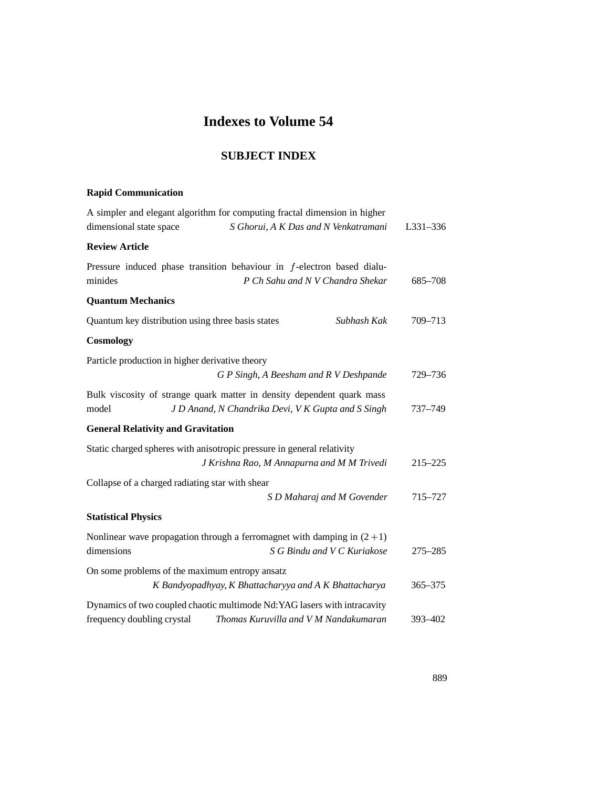# **Indexes to Volume 54**

## **SUBJECT INDEX**

#### **Rapid Communication**

| A simpler and elegant algorithm for computing fractal dimension in higher<br>dimensional state space<br>S Ghorui, A K Das and N Venkatramani | L331-336    |
|----------------------------------------------------------------------------------------------------------------------------------------------|-------------|
| <b>Review Article</b>                                                                                                                        |             |
| Pressure induced phase transition behaviour in f-electron based dialu-<br>P Ch Sahu and N V Chandra Shekar<br>minides                        | 685-708     |
| <b>Quantum Mechanics</b>                                                                                                                     |             |
| Quantum key distribution using three basis states<br>Subhash Kak                                                                             | 709-713     |
| Cosmology                                                                                                                                    |             |
| Particle production in higher derivative theory<br>G P Singh, A Beesham and R V Deshpande                                                    | 729-736     |
| Bulk viscosity of strange quark matter in density dependent quark mass<br>model<br>J D Anand, N Chandrika Devi, V K Gupta and S Singh        | 737-749     |
| <b>General Relativity and Gravitation</b>                                                                                                    |             |
| Static charged spheres with anisotropic pressure in general relativity                                                                       |             |
| J Krishna Rao, M Annapurna and M M Trivedi                                                                                                   | $215 - 225$ |
| Collapse of a charged radiating star with shear                                                                                              |             |
| S D Maharaj and M Govender                                                                                                                   | 715–727     |
| <b>Statistical Physics</b>                                                                                                                   |             |
| Nonlinear wave propagation through a ferromagnet with damping in $(2+1)$                                                                     |             |
| dimensions<br>S G Bindu and V C Kuriakose                                                                                                    | 275-285     |
| On some problems of the maximum entropy ansatz<br>K Bandyopadhyay, K Bhattacharyya and A K Bhattacharya                                      | $365 - 375$ |
| Dynamics of two coupled chaotic multimode Nd: YAG lasers with intracavity                                                                    |             |
| frequency doubling crystal<br>Thomas Kuruvilla and V M Nandakumaran                                                                          | 393-402     |

889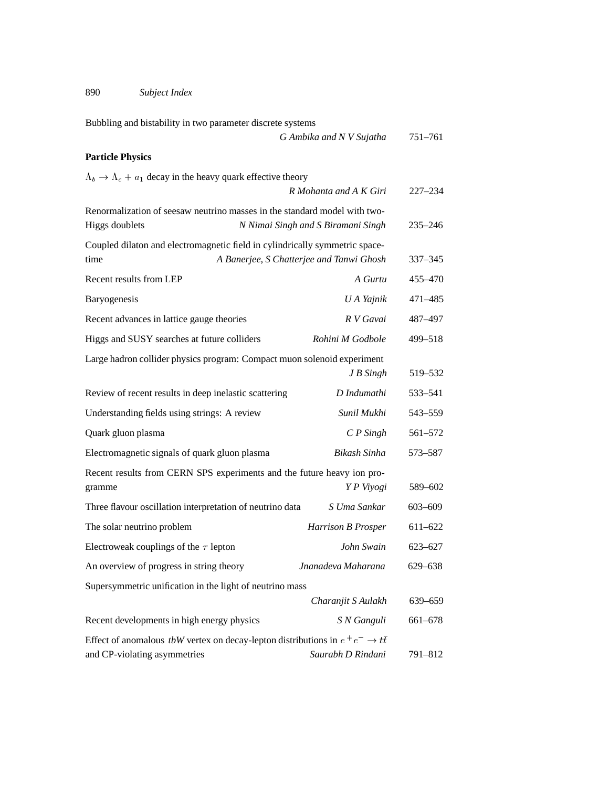#### 890 *Subject Index*

| Bubbling and bistability in two parameter discrete systems                                                                           |                           |             |
|--------------------------------------------------------------------------------------------------------------------------------------|---------------------------|-------------|
|                                                                                                                                      | G Ambika and N V Sujatha  | 751-761     |
| <b>Particle Physics</b>                                                                                                              |                           |             |
| $\Lambda_b \to \Lambda_c + a_1$ decay in the heavy quark effective theory                                                            | R Mohanta and A K Giri    | $227 - 234$ |
| Renormalization of seesaw neutrino masses in the standard model with two-                                                            |                           |             |
| <b>Higgs doublets</b><br>N Nimai Singh and S Biramani Singh                                                                          |                           | $235 - 246$ |
| Coupled dilaton and electromagnetic field in cylindrically symmetric space-<br>A Banerjee, S Chatterjee and Tanwi Ghosh<br>time      |                           | 337-345     |
| Recent results from LEP                                                                                                              | A Gurtu                   | 455 - 470   |
| Baryogenesis<br>U A Yajnik                                                                                                           |                           | 471-485     |
| Recent advances in lattice gauge theories                                                                                            | R V Gavai                 | 487-497     |
| Higgs and SUSY searches at future colliders<br>Rohini M Godbole                                                                      |                           | 499-518     |
| Large hadron collider physics program: Compact muon solenoid experiment                                                              |                           |             |
|                                                                                                                                      | J B Singh                 | 519-532     |
| Review of recent results in deep inelastic scattering                                                                                | D Indumathi               | 533–541     |
| Understanding fields using strings: A review                                                                                         | Sunil Mukhi               | 543-559     |
| Quark gluon plasma<br>$C P$ Singh                                                                                                    |                           | 561-572     |
| Electromagnetic signals of quark gluon plasma<br>Bikash Sinha                                                                        |                           | 573-587     |
| Recent results from CERN SPS experiments and the future heavy ion pro-<br>gramme                                                     | 589-602                   |             |
| Three flavour oscillation interpretation of neutrino data                                                                            | S Uma Sankar              | 603-609     |
| The solar neutrino problem                                                                                                           | <b>Harrison B Prosper</b> | $611 - 622$ |
| Electroweak couplings of the $\tau$ lepton                                                                                           | John Swain                | 623-627     |
| An overview of progress in string theory                                                                                             | Jnanadeva Maharana        | 629-638     |
| Supersymmetric unification in the light of neutrino mass                                                                             |                           |             |
|                                                                                                                                      | Charanjit S Aulakh        | 639-659     |
| Recent developments in high energy physics                                                                                           | S N Ganguli               | 661-678     |
| Effect of anomalous <i>tbW</i> vertex on decay-lepton distributions in $e^+e^- \rightarrow t\bar{t}$<br>and CP-violating asymmetries | Saurabh D Rindani         | 791-812     |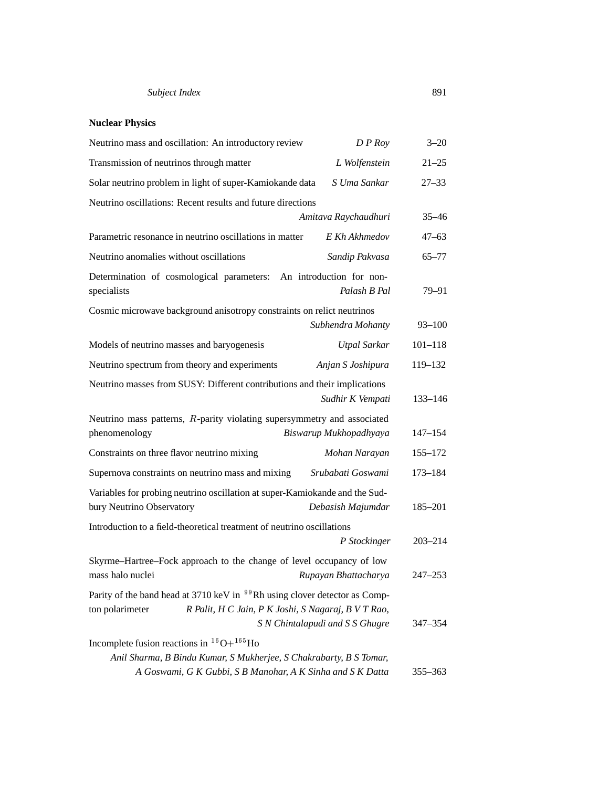### **Nuclear Physics**

| Neutrino mass and oscillation: An introductory review                                                                                                                                               | $D$ $P$ $Rov$                            | $3 - 20$    |
|-----------------------------------------------------------------------------------------------------------------------------------------------------------------------------------------------------|------------------------------------------|-------------|
| Transmission of neutrinos through matter                                                                                                                                                            | L Wolfenstein                            | $21 - 25$   |
| Solar neutrino problem in light of super-Kamiokande data                                                                                                                                            | S Uma Sankar                             | $27 - 33$   |
| Neutrino oscillations: Recent results and future directions                                                                                                                                         |                                          |             |
|                                                                                                                                                                                                     | Amitava Raychaudhuri                     | $35 - 46$   |
| Parametric resonance in neutrino oscillations in matter                                                                                                                                             | E Kh Akhmedov                            | $47 - 63$   |
| Neutrino anomalies without oscillations                                                                                                                                                             | Sandip Pakvasa                           | $65 - 77$   |
| Determination of cosmological parameters:<br>specialists                                                                                                                                            | An introduction for non-<br>Palash B Pal | $79 - 91$   |
| Cosmic microwave background anisotropy constraints on relict neutrinos                                                                                                                              |                                          |             |
|                                                                                                                                                                                                     | Subhendra Mohanty                        | $93 - 100$  |
| Models of neutrino masses and baryogenesis                                                                                                                                                          | Utpal Sarkar                             | $101 - 118$ |
| Neutrino spectrum from theory and experiments                                                                                                                                                       | Anjan S Joshipura                        | 119-132     |
| Neutrino masses from SUSY: Different contributions and their implications                                                                                                                           | Sudhir K Vempati                         | $133 - 146$ |
| Neutrino mass patterns, $R$ -parity violating supersymmetry and associated<br>phenomenology                                                                                                         | Biswarup Mukhopadhyaya                   | $147 - 154$ |
| Constraints on three flavor neutrino mixing                                                                                                                                                         | Mohan Narayan                            | 155-172     |
| Supernova constraints on neutrino mass and mixing                                                                                                                                                   | Srubabati Goswami                        | $173 - 184$ |
| Variables for probing neutrino oscillation at super-Kamiokande and the Sud-<br>bury Neutrino Observatory                                                                                            | Debasish Majumdar                        | 185-201     |
| Introduction to a field-theoretical treatment of neutrino oscillations                                                                                                                              |                                          |             |
|                                                                                                                                                                                                     | P Stockinger                             | $203 - 214$ |
| Skyrme-Hartree-Fock approach to the change of level occupancy of low<br>mass halo nuclei                                                                                                            | Rupayan Bhattacharya                     | $247 - 253$ |
| Parity of the band head at 3710 keV in <sup>99</sup> Rh using clover detector as Comp-<br>R Palit, H C Jain, P K Joshi, S Nagaraj, B V T Rao,<br>ton polarimeter<br>S N Chintalapudi and S S Ghugre |                                          | 347-354     |
| Incomplete fusion reactions in ${}^{16}O+{}^{165}Ho$                                                                                                                                                |                                          |             |
| Anil Sharma, B Bindu Kumar, S Mukherjee, S Chakrabarty, B S Tomar,<br>A Goswami, G K Gubbi, S B Manohar, A K Sinha and S K Datta                                                                    |                                          | $355 - 363$ |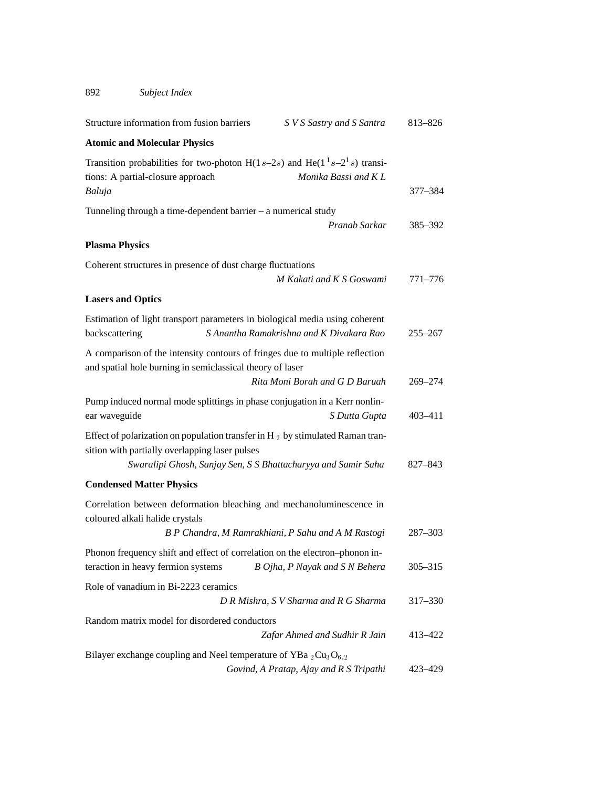892 *Subject Index*

| Structure information from fusion barriers                                                                                                                                                           | S V S Sastry and S Santra                          | 813-826     |
|------------------------------------------------------------------------------------------------------------------------------------------------------------------------------------------------------|----------------------------------------------------|-------------|
| <b>Atomic and Molecular Physics</b>                                                                                                                                                                  |                                                    |             |
| Transition probabilities for two-photon H(1s-2s) and He( $11s-21s$ ) transi-<br>tions: A partial-closure approach<br>Baluja                                                                          | Monika Bassi and KL                                | 377-384     |
| Tunneling through a time-dependent barrier $-$ a numerical study                                                                                                                                     |                                                    |             |
|                                                                                                                                                                                                      | Pranab Sarkar                                      | 385-392     |
| <b>Plasma Physics</b>                                                                                                                                                                                |                                                    |             |
| Coherent structures in presence of dust charge fluctuations                                                                                                                                          | M Kakati and K S Goswami                           | 771-776     |
| <b>Lasers and Optics</b>                                                                                                                                                                             |                                                    |             |
| Estimation of light transport parameters in biological media using coherent<br>backscattering                                                                                                        | S Anantha Ramakrishna and K Divakara Rao           | $255 - 267$ |
| A comparison of the intensity contours of fringes due to multiple reflection<br>and spatial hole burning in semiclassical theory of laser                                                            |                                                    |             |
|                                                                                                                                                                                                      | Rita Moni Borah and G D Baruah                     | 269-274     |
| Pump induced normal mode splittings in phase conjugation in a Kerr nonlin-<br>ear waveguide                                                                                                          | S Dutta Gupta                                      | 403-411     |
| Effect of polarization on population transfer in H $_2$ by stimulated Raman tran-<br>sition with partially overlapping laser pulses<br>Swaralipi Ghosh, Sanjay Sen, S S Bhattacharyya and Samir Saha |                                                    | 827-843     |
| <b>Condensed Matter Physics</b>                                                                                                                                                                      |                                                    |             |
| Correlation between deformation bleaching and mechanoluminescence in<br>coloured alkali halide crystals                                                                                              |                                                    |             |
|                                                                                                                                                                                                      | B P Chandra, M Ramrakhiani, P Sahu and A M Rastogi | $287 - 303$ |
| Phonon frequency shift and effect of correlation on the electron-phonon in-<br>teraction in heavy fermion systems                                                                                    | B Ojha, P Nayak and S N Behera                     | $305 - 315$ |
| Role of vanadium in Bi-2223 ceramics                                                                                                                                                                 | D R Mishra, S V Sharma and R G Sharma              | 317-330     |
| Random matrix model for disordered conductors                                                                                                                                                        | Zafar Ahmed and Sudhir R Jain                      | 413-422     |
| Bilayer exchange coupling and Neel temperature of YBa $_2Cu_3O_{6.2}$                                                                                                                                | Govind, A Pratap, Ajay and R S Tripathi            | 423-429     |